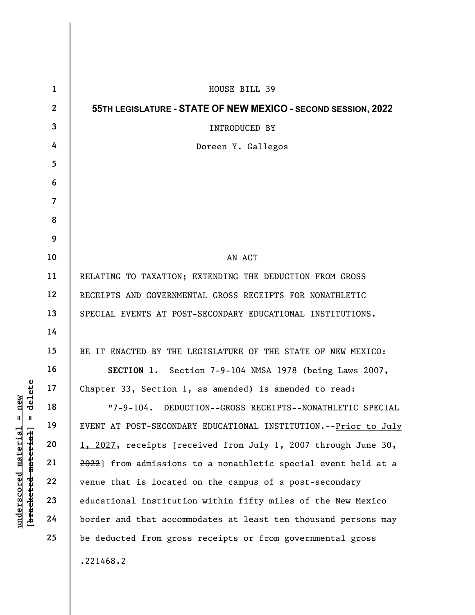| delete<br>new<br>$^{\mathsf{II}}$<br>Ш<br>[bracketed material]<br><u>material</u> | $\mathbf{1}$   | HOUSE BILL 39                                                   |
|-----------------------------------------------------------------------------------|----------------|-----------------------------------------------------------------|
|                                                                                   | $\mathbf{2}$   | 55TH LEGISLATURE - STATE OF NEW MEXICO - SECOND SESSION, 2022   |
|                                                                                   | $\mathbf{3}$   | INTRODUCED BY                                                   |
|                                                                                   | 4              | Doreen Y. Gallegos                                              |
|                                                                                   | 5              |                                                                 |
|                                                                                   | 6              |                                                                 |
|                                                                                   | $\overline{7}$ |                                                                 |
|                                                                                   | 8              |                                                                 |
|                                                                                   | 9              |                                                                 |
|                                                                                   | 10             | AN ACT                                                          |
|                                                                                   | 11             | RELATING TO TAXATION; EXTENDING THE DEDUCTION FROM GROSS        |
|                                                                                   | 12             | RECEIPTS AND GOVERNMENTAL GROSS RECEIPTS FOR NONATHLETIC        |
|                                                                                   | 13             | SPECIAL EVENTS AT POST-SECONDARY EDUCATIONAL INSTITUTIONS.      |
|                                                                                   | 14             |                                                                 |
|                                                                                   | 15             | BE IT ENACTED BY THE LEGISLATURE OF THE STATE OF NEW MEXICO:    |
|                                                                                   | 16             | SECTION 1. Section 7-9-104 NMSA 1978 (being Laws 2007,          |
|                                                                                   | 17             | Chapter 33, Section 1, as amended) is amended to read:          |
|                                                                                   | 18             | "7-9-104. DEDUCTION--GROSS RECEIPTS--NONATHLETIC SPECIAL        |
|                                                                                   | 19             | EVENT AT POST-SECONDARY EDUCATIONAL INSTITUTION.--Prior to July |
|                                                                                   | 20             | 1, 2027, receipts [received from July 1, 2007 through June 30,  |
|                                                                                   | 21             | 2022] from admissions to a nonathletic special event held at a  |
|                                                                                   | 22             | venue that is located on the campus of a post-secondary         |
|                                                                                   | 23             | educational institution within fifty miles of the New Mexico    |
| underscored                                                                       | 24             | border and that accommodates at least ten thousand persons may  |
|                                                                                   | 25             | be deducted from gross receipts or from governmental gross      |
|                                                                                   |                | .221468.2                                                       |